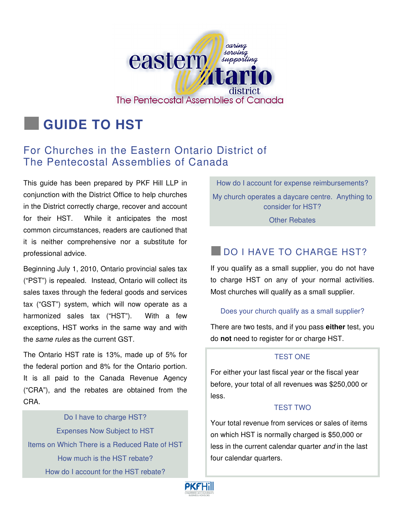

# **GUIDE TO HST**

# For Churches in the Eastern Ontario District of The Pentecostal Assemblies of Canada

This guide has been prepared by PKF Hill LLP in conjunction with the District Office to help churches in the District correctly charge, recover and account for their HST. While it anticipates the most common circumstances, readers are cautioned that it is neither comprehensive nor a substitute for professional advice.

Beginning July 1, 2010, Ontario provincial sales tax ("PST") is repealed. Instead, Ontario will collect its sales taxes through the federal goods and services tax ("GST") system, which will now operate as a harmonized sales tax ("HST"). With a few exceptions, HST works in the same way and with the same rules as the current GST.

The Ontario HST rate is 13%, made up of 5% for the federal portion and 8% for the Ontario portion. It is all paid to the Canada Revenue Agency ("CRA"), and the rebates are obtained from the CRA.

Do I have to charge HST? Expenses Now Subject to HST Items on Which There is a Reduced Rate of HST How much is the HST rebate? How do I account for the HST rebate?

How do I account for expense reimbursements? My church operates a daycare centre. Anything to consider for HST?

Other Rebates

# **DO I HAVE TO CHARGE HST?**

If you qualify as a small supplier, you do not have to charge HST on any of your normal activities. Most churches will qualify as a small supplier.

#### Does your church qualify as a small supplier?

There are two tests, and if you pass **either** test, you do **not** need to register for or charge HST.

#### TEST ONE

For either your last fiscal year or the fiscal year before, your total of all revenues was \$250,000 or less.

#### TEST TWO

Your total revenue from services or sales of items on which HST is normally charged is \$50,000 or less in the current calendar quarter and in the last four calendar quarters.

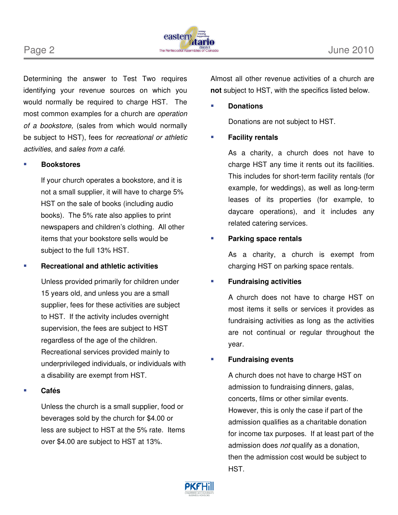

Determining the answer to Test Two requires identifying your revenue sources on which you would normally be required to charge HST. The most common examples for a church are operation of a bookstore, (sales from which would normally be subject to HST), fees for recreational or athletic activities, and sales from a café.

#### **Bookstores**

 If your church operates a bookstore, and it is not a small supplier, it will have to charge 5% HST on the sale of books (including audio books). The 5% rate also applies to print newspapers and children's clothing. All other items that your bookstore sells would be subject to the full 13% HST.

#### **Recreational and athletic activities**

Unless provided primarily for children under 15 years old, and unless you are a small supplier, fees for these activities are subject to HST. If the activity includes overnight supervision, the fees are subject to HST regardless of the age of the children. Recreational services provided mainly to underprivileged individuals, or individuals with a disability are exempt from HST.

#### **Cafés**

Unless the church is a small supplier, food or beverages sold by the church for \$4.00 or less are subject to HST at the 5% rate. Items over \$4.00 are subject to HST at 13%.

Almost all other revenue activities of a church are **not** subject to HST, with the specifics listed below.

#### **Donations**

Donations are not subject to HST.

#### **Facility rentals**

As a charity, a church does not have to charge HST any time it rents out its facilities. This includes for short-term facility rentals (for example, for weddings), as well as long-term leases of its properties (for example, to daycare operations), and it includes any related catering services.

#### **Parking space rentals**

As a charity, a church is exempt from charging HST on parking space rentals.

#### **Fundraising activities**

A church does not have to charge HST on most items it sells or services it provides as fundraising activities as long as the activities are not continual or regular throughout the year.

#### **Fundraising events**

A church does not have to charge HST on admission to fundraising dinners, galas, concerts, films or other similar events. However, this is only the case if part of the admission qualifies as a charitable donation for income tax purposes. If at least part of the admission does not qualify as a donation, then the admission cost would be subject to HST.

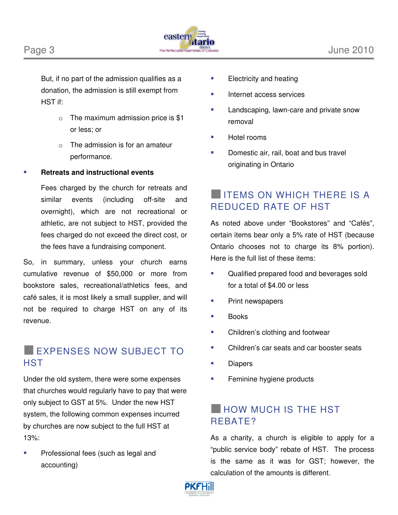

But, if no part of the admission qualifies as a donation, the admission is still exempt from HST if:

- $\circ$  The maximum admission price is \$1 or less; or
- $\circ$  The admission is for an amateur performance.

#### **Retreats and instructional events**

Fees charged by the church for retreats and similar events (including off-site and overnight), which are not recreational or athletic, are not subject to HST, provided the fees charged do not exceed the direct cost, or the fees have a fundraising component.

So, in summary, unless your church earns cumulative revenue of \$50,000 or more from bookstore sales, recreational/athletics fees, and café sales, it is most likely a small supplier, and will not be required to charge HST on any of its revenue.

## **EXPENSES NOW SUBJECT TO HST**

Under the old system, there were some expenses that churches would regularly have to pay that were only subject to GST at 5%. Under the new HST system, the following common expenses incurred by churches are now subject to the full HST at 13%:

 Professional fees (such as legal and accounting)

- $\blacksquare$  Electricity and heating
- **Internet access services**
- Landscaping, lawn-care and private snow removal
- Hotel rooms
- Domestic air, rail, boat and bus travel originating in Ontario

# **INTEMS ON WHICH THERE IS A** REDUCED RATE OF HST

As noted above under "Bookstores" and "Cafés", certain items bear only a 5% rate of HST (because Ontario chooses not to charge its 8% portion). Here is the full list of these items:

- Qualified prepared food and beverages sold for a total of \$4.00 or less
- Print newspapers
- Books
- **EXECUTE:** Children's clothing and footwear
- Children's car seats and car booster seats
- **Diapers**
- **Feminine hygiene products**

## **HOW MUCH IS THE HST** REBATE?

As a charity, a church is eligible to apply for a "public service body" rebate of HST. The process is the same as it was for GST; however, the calculation of the amounts is different.

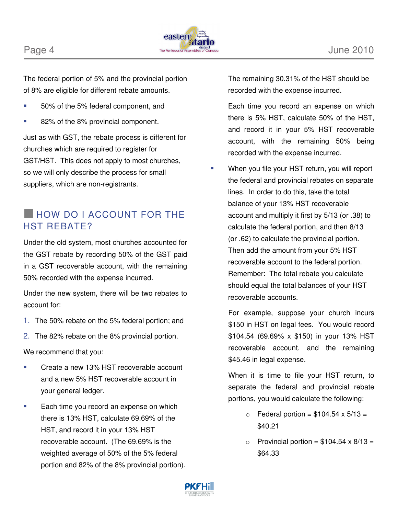



The federal portion of 5% and the provincial portion of 8% are eligible for different rebate amounts.

- 50% of the 5% federal component, and
- 82% of the 8% provincial component.

Just as with GST, the rebate process is different for churches which are required to register for GST/HST. This does not apply to most churches, so we will only describe the process for small suppliers, which are non-registrants.

# **HOW DO I ACCOUNT FOR THE** HST REBATE?

Under the old system, most churches accounted for the GST rebate by recording 50% of the GST paid in a GST recoverable account, with the remaining 50% recorded with the expense incurred.

Under the new system, there will be two rebates to account for:

- 1. The 50% rebate on the 5% federal portion; and
- 2. The 82% rebate on the 8% provincial portion.

We recommend that you:

- Create a new 13% HST recoverable account and a new 5% HST recoverable account in your general ledger.
- **Each time you record an expense on which** there is 13% HST, calculate 69.69% of the HST, and record it in your 13% HST recoverable account. (The 69.69% is the weighted average of 50% of the 5% federal portion and 82% of the 8% provincial portion).

The remaining 30.31% of the HST should be recorded with the expense incurred.

Each time you record an expense on which there is 5% HST, calculate 50% of the HST, and record it in your 5% HST recoverable account, with the remaining 50% being recorded with the expense incurred.

 When you file your HST return, you will report the federal and provincial rebates on separate lines. In order to do this, take the total balance of your 13% HST recoverable account and multiply it first by 5/13 (or .38) to calculate the federal portion, and then 8/13 (or .62) to calculate the provincial portion. Then add the amount from your 5% HST recoverable account to the federal portion. Remember: The total rebate you calculate should equal the total balances of your HST recoverable accounts.

For example, suppose your church incurs \$150 in HST on legal fees. You would record \$104.54 (69.69% x \$150) in your 13% HST recoverable account, and the remaining \$45.46 in legal expense.

When it is time to file your HST return, to separate the federal and provincial rebate portions, you would calculate the following:

- $\circ$  Federal portion = \$104.54 x 5/13 = \$40.21
- $\circ$  Provincial portion = \$104.54 x 8/13 = \$64.33